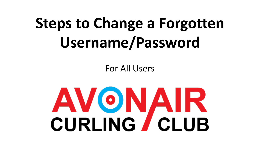For All Users

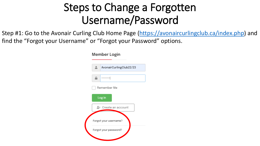Step #1: Go to the Avonair Curling Club Home Page ([https://avonaircurlingclub.ca/index.php\)](https://avonaircurlingclub.ca/index.php) and find the "Forgot your Username" or "Forgot your Password" options.

| Member Login |                         |
|--------------|-------------------------|
|              | AvonairCurlingClub22/23 |
|              |                         |
|              | Remember Me             |
|              | Log in                  |
|              | + Create an account     |
|              | Forgot your username?   |
|              |                         |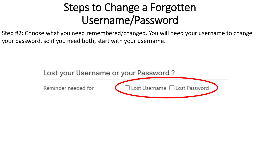Step #2: Choose what you need remembered/changed. You will need your username to change your password, so if you need both, start with your username.

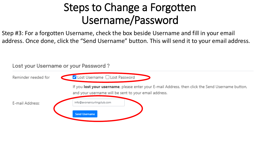Step #3: For a forgotten Username, check the box beside Username and fill in your email address. Once done, click the "Send Username" button. This will send it to your email address.

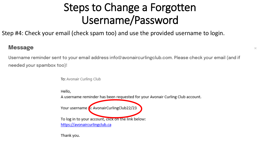$\asymp$ 

Step #4: Check your email (check spam too) and use the provided username to login.

#### **Message**

Username reminder sent to your email address info@avonaircurlingclub.com. Please check your email (and if needed your spambox too)!

To: Avonair Curling Club

Hello,

A username reminder has been requested for your Avonair Curling Club account.

Your username 5: AvonairCurlingClub22/23

To log in to your account, click on the link below: https://avonaircurlingclub.ca

Thank you.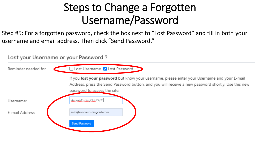Step #5: For a forgotten password, check the box next to "Lost Password" and fill in both your username and email address. Then click "Send Password."

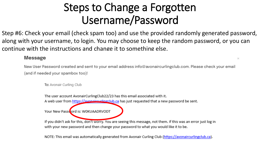Step #6: Check your email (check spam too) and use the provided randomly generated password, along with your username, to login. You may choose to keep the random password, or you can continue with the instructions and change it to something else.

#### **Message**

New User Password created and sent to your email address info@avonaircurlingclub.com. Please check your email (and if needed your spambox too)!

 $\boldsymbol{\times}$ 

To: Avonair Curling Club

The user account AvonairCurlingClub22/23 has this email associated with it. A web user from https://avonairsurlingclub.ca has just requested that a new password be sent.

Your New Password is: WOKUAADRVODT

If you didn't ask for this, don't worry. You are seeing this message, not them. If this was an error just log in with your new password and then change your password to what you would like it to be.

NOTE: This email was automatically generated from Avonair Curling Club (https://avonaircurlingclub.ca).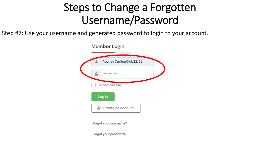Step #7: Use your username and generated password to login to your account.

Member Login AvonairCurlingClub22/23 ............ Remember Me Log in &+ Create an account

Forgot your username?

Forgot your password?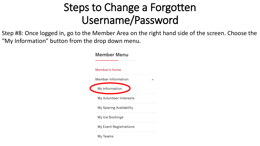Step #8: Once logged in, go to the Member Area on the right hand side of the screen. Choose the "My Information" button from the drop down menu.

| <b>Member Menu</b>      |
|-------------------------|
| Member's Home           |
| Member Information      |
| My Information          |
| My Volunteer Interests  |
| My Sparing Availability |
| My Ice Bookings         |
| My Event Registrations  |
|                         |

My Teams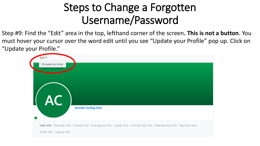Step #9: Find the "Edit" area in the top, lefthand corner of the screen**. This is not a button**. You must hover your cursor over the word edit until you see "Update your Profile" pop up. Click on "Update your Profile."

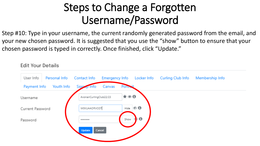Step #10: Type in your username, the current randomly generated password from the email, and your new chosen password. It is suggested that you use the "show" button to ensure that your chosen password is typed in correctly. Once finished, click "Update."

**Edit Your Details** 

User Info Personal Info Contact Info **Emergency Info Curling Club Info** Locker Info Membership Info Payment Info Youth Info Signap Info Canvas Porti  $\star \circ 0$ AvonairCurlingClub22/23 Username ை 6 W0KUAADRVODT Hide Current Password A Show Password ........ Update Cancel